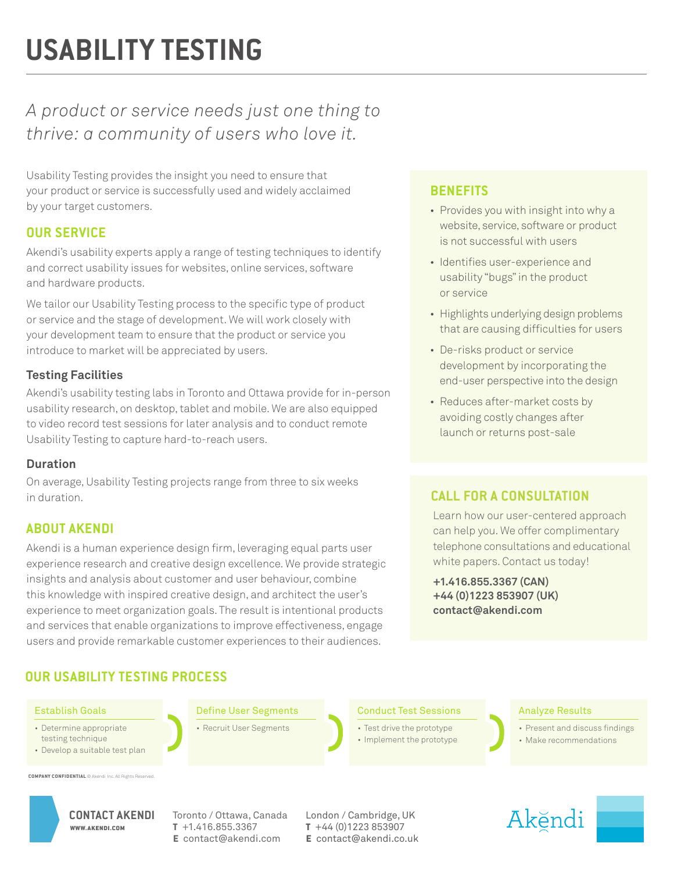# **USABILITY TESTING**

# *A product or service needs just one thing to thrive: a community of users who love it.*

Usability Testing provides the insight you need to ensure that your product or service is successfully used and widely acclaimed by your target customers.

# **OUR SERVICE**

Akendi's usability experts apply a range of testing techniques to identify and correct usability issues for websites, online services, software and hardware products.

We tailor our Usability Testing process to the specific type of product or service and the stage of development. We will work closely with your development team to ensure that the product or service you introduce to market will be appreciated by users.

# **Testing Facilities**

Akendi's usability testing labs in Toronto and Ottawa provide for in-person usability research, on desktop, tablet and mobile. We are also equipped to video record test sessions for later analysis and to conduct remote Usability Testing to capture hard-to-reach users.

# **Duration**

On average, Usability Testing projects range from three to six weeks in duration.

# **ABOUT AKENDI**

Akendi is a human experience design firm, leveraging equal parts user experience research and creative design excellence. We provide strategic insights and analysis about customer and user behaviour, combine this knowledge with inspired creative design, and architect the user's experience to meet organization goals. The result is intentional products and services that enable organizations to improve effectiveness, engage users and provide remarkable customer experiences to their audiences.

# **OUR USABILITY TESTING PROCESS**

Establish Goals

- Determine appropriate testing technique
- Develop a suitable test plan

**COMPANY CONFIDENTIAL © Akendi** 

WWW.AKENDI.COM

Define User Segments

• Recruit User Segments

# **BENEFITS**

- Provides you with insight into why a website, service, software or product is not successful with users
- Identifies user-experience and usability "bugs" in the product or service
- Highlights underlying design problems that are causing difficulties for users
- De-risks product or service development by incorporating the end-user perspective into the design
- Reduces after-market costs by avoiding costly changes after launch or returns post-sale

# **CALL FOR A CONSULTATION**

Learn how our user-centered approach can help you. We offer complimentary telephone consultations and educational white papers. Contact us today!

**+1.416.855.3367 (CAN) +44 (0)1223 853907 (UK) contact@akendi.com**

Conduct Test Sessions

- Test drive the prototype
- Implement the prototype

#### Analyze Results

- Present and discuss findings
- Make recommendations



CONTACT AKENDI Toronto / Ottawa, Canada London / Cambridge, UK **t** +1.416.855.3367 **e** contact@akendi.com

**t** +44 (0)1223 853907 **e** contact@akendi.co.uk